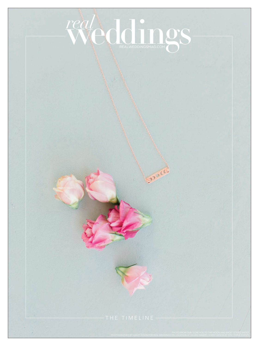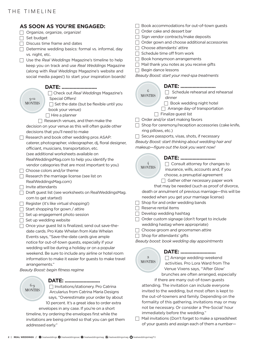### THE TIMELINE

### **AS SOON AS YOU'RE ENGAGED:**

| Organize, organize, organize! |
|-------------------------------|
|-------------------------------|

 $\Box$  Set budget

9-12 **MONTHS** 

 $\Box$  Discuss time frame and dates

 $\Box$  Determine wedding basics: formal vs. informal, day vs. night, etc.

 Use the *Real Weddings* Magazine's timeline to help keep you on track and use *Real Weddings* Magazine (along with *Real Weddings* Magazine's website and social media pages!) to start your inspiration boards!

| <b>DATE: </b>                   |
|---------------------------------|
| $\Box$ Chaolicut Dool Uladeling |

 Check out *Real Weddings* Magazine's Special Offers!

 $\Box$  Set the date (but be flexible until you book your venue)

 $\Box$  Hire a planner

 $\Box$  Research venues, and then make the decision on your venue as this will often guide other decisions that you'll need to make

- $\Box$  Research and book other wedding pros ASAP: caterer, photographer, videographer, dj, floral designer, officiant, musicians, transportation, etc. (see additional worksheets available on RealWeddingsMag.com to help you identify the vendor categories that are most important to you)
- $\Box$  Choose colors and/or theme
- $\Box$  Research the marriage license (see list on RealWeddingsMag.com)

 $\Box$  Invite attendants

- □ Draft guest list (see worksheets on RealWeddingsMag. com to get started)
- $\Box$  Register (it's like virtual shopping!)
- $\Box$  Start shopping for gown / attire
- $\Box$  Set up engagement photo session
- $\Box$  Set up wedding website
- $\Box$  Once your quest list is finalized, send out save-thedate cards. Pro Kate Whelan from Kate Whelan Events says, "Save-the-date cards give ample notice for out-of-town guests, especially if your wedding will be during a holiday or on a popular weekend. Be sure to include any airline or hotel room information to make it easier for guests to make travel arrangements."

*Beauty Boost: begin fitness regime*



#### **DATE: ..........................**

 $\Box$  Invitations/stationery. Pro Catrina Arcularius from Catrina Maria Designs says, "Overestimate your order by about 10 percent. It's a great idea to order extra

envelopes in any case. If you're on a short timeline, try ordering the envelopes first while the invitations are being printed so that you can get them addressed early."

- $\Box$  Book accommodations for out-of-town guests
- $\Box$  Order cake and dessert bar
- $\Box$  Sign vendor contracts/make deposits
- $\Box$  Order gown and choose additional accessories
- $\Box$  Choose attendants' attire
- $\Box$  Schedule time off from work
- $\Box$  Book honeymoon arrangements
- $\Box$  Mail thank you notes as you receive gifts
- $\Box$  Begin dance lessons

6 **MONTHS** 

*Beauty Boost: start your med-spa treatments*

#### **DATE: ..........................**

 $\Box$  Schedule rehearsal and rehearsal dinner

- $\Box$  Book wedding night hotel
- $\Box$  Arrange day-of transportation
- $\Box$  Finalize guest list
- $\Box$  Order and/or start making favors
- $\Box$  Shop for ceremony/reception accessories (cake knife, ring pillows, etc.)
- $\Box$  Secure passports, visas, shots, if necessary

*Beauty Boost: start thinking about wedding hair and makeup—figure out the look you want now!*

# **DATE: ..........................**

4 **MONTHS** 

 $\overline{2}$ MONTHS

 $\Box$  Consult attorney for changes to insurance, wills, accounts and, if you choose, a prenuptial agreement  $\Box$  Gather other necessary paper work

that may be needed (such as proof of divorce, death or annulment of previous marriage—this will be needed when you get your marriage license)

- $\Box$  Shop for and order wedding bands
- $\Box$  Reserve rental items
- $\Box$  Develop wedding hashtag
- $\Box$  Order custom signage (don't forget to include wedding hastag where appropriate)
- $\Box$  Choose groom and groomsmen attire
- $\Box$  Shop for attendants' gifts

*Beauty boost: book wedding day appointments*

#### **DATE: ..........................**

 Arrange wedding-weekend activities. Pro Lora Ward from The Venue Vixens says, "'After Glow' brunches are often arranged, especially

if there are many out-of-town guests attending. The invitation can include everyone invited to the wedding, but most often is kept to the out-of-towners and family. Depending on the formality of this gathering, invitations may or may not be necessary. Or consider a 'Pre-Social' hour immediately before the wedding."

 $\Box$  Mail invitations (Don't forget to make a spreadsheet of your guests and assign each of them a number—